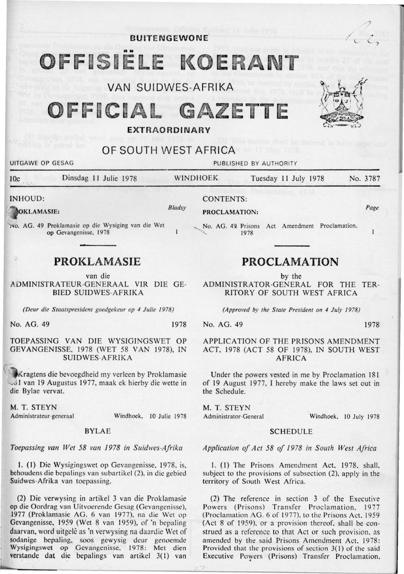**BUlTENGEWONE** /

# OFFISIELE KOERAN'

VAN SUIDWES-AFRIKA

FFICIAL GAZETTE

# OF SOUTH WEST AFRICA

| UITGAWE OP GESAG      |                                                                              | PUBLISHED BY AUTHORITY |                                                |                      |  |          |
|-----------------------|------------------------------------------------------------------------------|------------------------|------------------------------------------------|----------------------|--|----------|
| 10c                   | Dinsdag 11 Julie 1978                                                        |                        | <b>WINDHOEK</b>                                | Tuesday 11 July 1978 |  | No. 3787 |
| INHOUD:<br>OKLAMASIE: |                                                                              | Bladsy                 | <b>CONTENTS:</b><br>PROCLAMATION:              |                      |  | Page     |
|                       | INO. AG. 49 Proklamasie op die Wysiging van die Wet<br>op Gevangenisse, 1978 |                        | No. AG. 49 Prisons Act Amendment Proclamation, | 1978                 |  |          |

# **PROKLAMASIE**

van die

ADMINISTRATEUR-GENERAAL VIR DIE GE-BIED SUIDWES-AFRIKA

*(Deur die Staatspresident goedgekeur op 4 Julie 1978)* 

No. AG. 49 1978

TOEPASSING VAN DIE WYSIGINGSWET OP GEVANGENISSE, 1978 (WET 58 VAN 1978), IN SUIDWES-AFRIKA

:( Kragtens die bevoegdheid my verleen by Proklamasie Julyd van 19 Augustus 1977, maak ek hierby die wette in die Bylae vervat.

M. T. STEYN

Administrateur-generaal Windhoek, 10 Julie 1978

# BYLAE

*Toepassing van Wet 58 van 1978 in Suidwes-Afrika* 

1. (1) Die Wysigingswet op Gevangenisse, 1978, is, behoudens die bcpalings van subartikcl (2), in die gebied Suidwes-Afrika van tocpassing.

(2) Die verwysing in artikel 3 van die Proklamasie op die Oordrag van Uitvoerende Gesag (Gevangenisse), 1977 (Proklamasie AG. 6 van 1977), na die Wet op Gevangenisse, 1959 (Wet 8 van 1959), of 'n bepaling daarvan, word uitgelê as 'n verwysing na daardie Wet of sodanige bepaling, soos gewysig dcur genoemdc Wysigingswet op Gevangenisse, 1978: Met dien verstande dat die bepalings van artikel 3(1) van

# **PROCLAMATION**

by the

ADMINISTRATOR-GENERAL FOR THE TER-RITORY OF SOUTH WEST AFRICA

*(Approved by the State President on 4 July 1978)* 

No. AG. 49 1978

?

7

 $\sim$  L

 $J'$  ,  $\mathbb{A}$  ,  $\mathbb{A}$ 

 $x \leftrightarrow y$ 

~

# APPLICATION OF THE PRISONS AMENDMENT ACT, 1978 (ACT 58 OF 1978). IN SOUTH WEST AFRICA

Under the powers vested in me by Proclamation 181 of 19 August 1977, I hereby make the laws set out in the Schedule.

M. T. STEYN

Administrator-General Windhoek, 10 July 1978

# **SCHEDULE**

*Application of Act 58 of 1978 in S outh West Africa* 

I. (I) The Prisons Amendment Act. 1978. shall. subject to the provisions of subsection (2), apply in the territory of South West Africa.

(2) The reference in section 3 of the Executive Powers (Prisons) Transfer Proclamation. 1977 (Proclamation AG. 6 of 1977), to the Prisons Act. 1959 (Act 8 of 1959), or a provision thereof, shall be construed as a reference to that Act or such provision, as amended by the said Prisons Amendment Act, 1978: Provided that the provisions of section 3(1) of the said Executive Powers (Prisons) Transfer Proclamation.